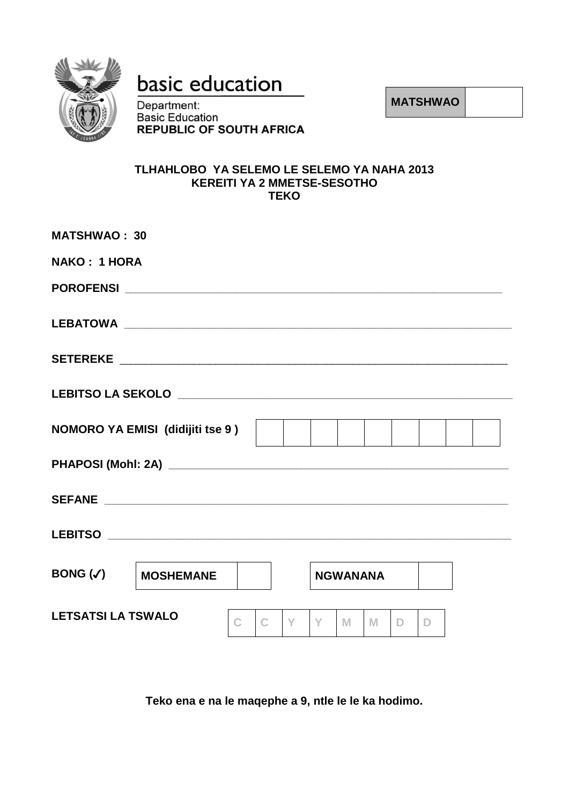

# basic education

Department: **Basic Education REPUBLIC OF SOUTH AFRICA**  **MATSHWAO**

#### **TLHAHLOBO YA SELEMO LE SELEMO YA NAHA 2013 KEREITI YA 2 MMETSE-SESOTHO TEKO**

| <b>MATSHWAO: 30</b>       |                                         |   |   |   |                 |   |    |              |  |  |
|---------------------------|-----------------------------------------|---|---|---|-----------------|---|----|--------------|--|--|
| <b>NAKO: 1 HORA</b>       |                                         |   |   |   |                 |   |    |              |  |  |
|                           |                                         |   |   |   |                 |   |    |              |  |  |
|                           |                                         |   |   |   |                 |   |    |              |  |  |
|                           |                                         |   |   |   |                 |   |    |              |  |  |
|                           |                                         |   |   |   |                 |   |    |              |  |  |
|                           | <b>NOMORO YA EMISI (didijiti tse 9)</b> |   |   |   |                 |   |    |              |  |  |
|                           |                                         |   |   |   |                 |   |    |              |  |  |
|                           |                                         |   |   |   |                 |   |    |              |  |  |
|                           |                                         |   |   |   |                 |   |    |              |  |  |
| BONG $(\checkmark)$       | <b>MOSHEMANE</b>                        |   |   |   | <b>NGWANANA</b> |   |    |              |  |  |
| <b>LETSATSI LA TSWALO</b> |                                         | C | Y | Y | M               | M | D. | $\mathbb{D}$ |  |  |

**Teko ena e na le maqephe a 9, ntle le le ka hodimo.**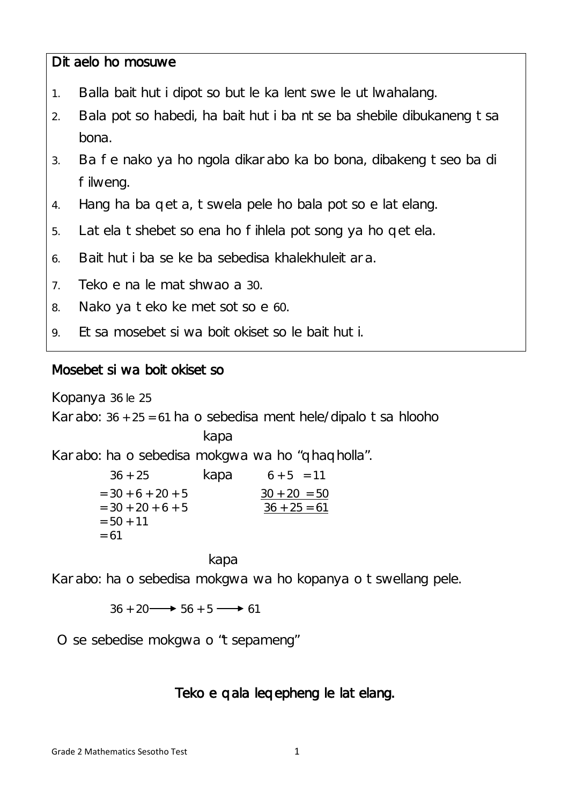### Ditaelo ho mosuwe

- 1. Balla baithuti dipotso butle ka lentswe le utlwahalang.
- 2. Bala potso habedi, ha baithuti ba ntse ba shebile dibukaneng tsa bona.
- 3. Ba fe nako ya ho ngola dikarabo ka bo bona, dibakeng tseo ba di filweng.
- 4. Hang ha ba qeta, tswela pele ho bala potso e latelang.
- 5. Latela tshebetso ena ho fihlela potsong ya ho qetela.
- 6. Baithuti ba se ke ba sebedisa khalekhuleitara.
- 7. Teko e na le matshwao a 30.
- 8. Nako ya teko ke metsotso e 60.
- 9. Etsa mosebetsi wa boitokisetso le baithuti.

### Mosebetsi wa boitokisetso

Kopanya 36 le 25

Karabo:  $36 + 25 = 61$  ha o sebedisa menthele/dipalo tsa hlooho

kapa

Karabo: ha o sebedisa mokgwa wa ho "qhaqholla".

| $36 + 25$           | kapa | $6 + 5 = 11$   |
|---------------------|------|----------------|
| $=$ 30 + 6 + 20 + 5 |      | $30 + 20 = 50$ |
| $=$ 30 + 20 + 6 + 5 |      | $36 + 25 = 61$ |
| $= 50 + 11$         |      |                |
| $= 61$              |      |                |
|                     |      |                |

kapa

Karabo: ha o sebedisa mokgwa wa ho kopanya o tswellang pele.

 $36 + 20 \longrightarrow 56 + 5 \longrightarrow 61$ 

O se sebedise mokgwa o "tsepameng"

## Teko e qala leqepheng le latelang.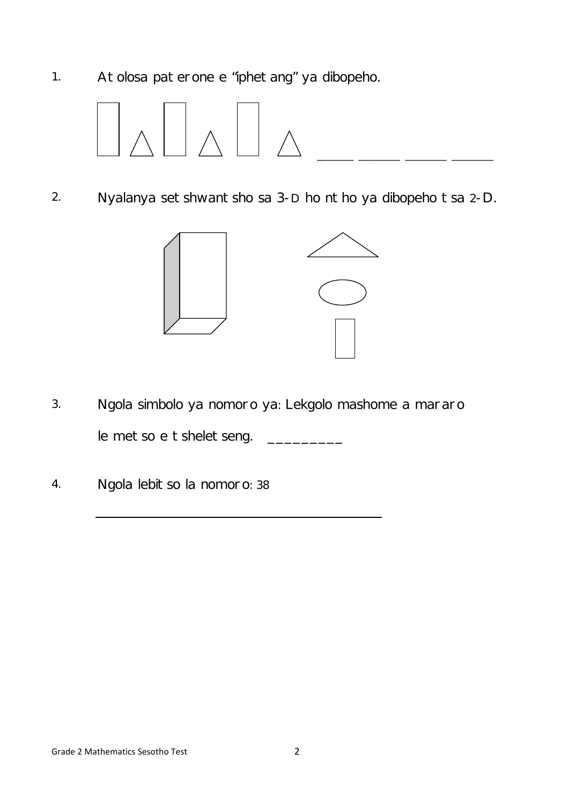1. Atolosa paterone e "iphetang" ya dibopeho.



2. Nyalanya setshwantsho sa 3-D ho ntho ya dibopeho tsa 2-D.



- 3. Ngola simbolo ya nomoro ya: Lekgolo mashome a mararo le metso e tsheletseng. \_\_\_\_\_\_\_\_\_\_\_
- 4. Ngola lebitso la nomoro: 38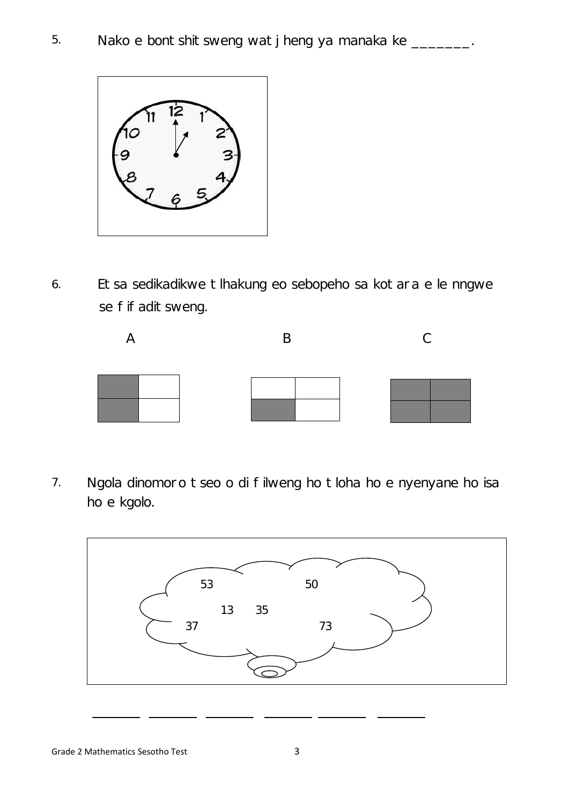

6. Etsa sedikadikwe tlhakung eo sebopeho sa kotara e le nngwe se fifaditsweng.



7. Ngola dinomoro tseo o di filweng ho tloha ho e nyenyane ho isa ho e kgolo.

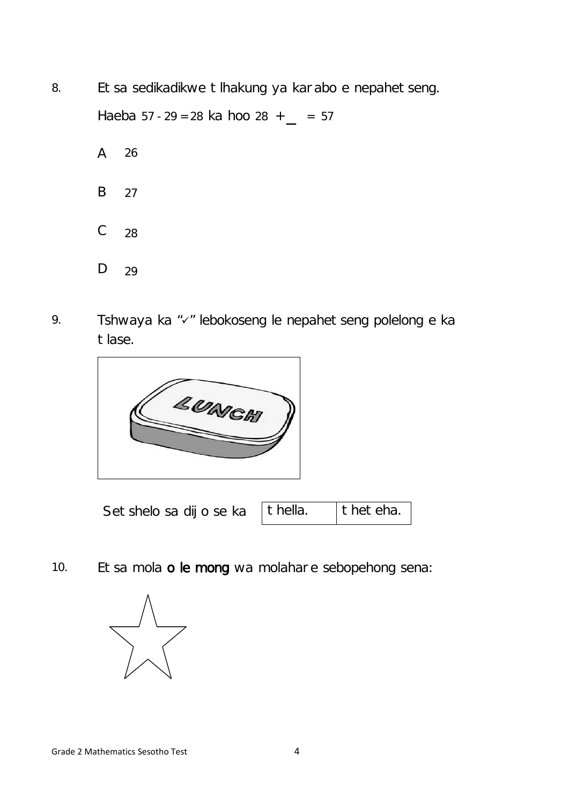- 8. Etsa sedikadikwe tlhakung ya karabo e nepahetseng. Haeba  $57 - 29 = 28$  ka hoo  $28 + 2 = 57$ A B C D 26 27 28 29
- 9. Tshwaya ka "v" lebokoseng le nepahetseng polelong e ka tlase.



Setshelo sa dijo se ka thella. theteha.

10. Etsa mola o le mong wa molahare sebopehong sena:

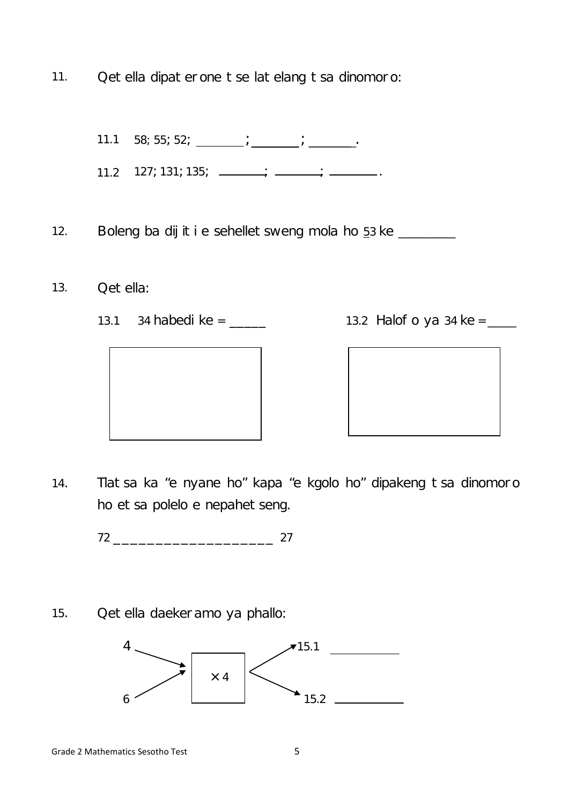11. Qetella dipaterone tse latelang tsa dinomoro:

11.1 58; 55; 52;  $\frac{1}{\sqrt{1-\frac{1}{\sqrt{1-\frac{1}{\sqrt{1-\frac{1}{\sqrt{1-\frac{1}{\sqrt{1-\frac{1}{\sqrt{1-\frac{1}{\sqrt{1-\frac{1}{\sqrt{1-\frac{1}{\sqrt{1-\frac{1}{\sqrt{1-\frac{1}{\sqrt{1-\frac{1}{\sqrt{1-\frac{1}{\sqrt{1-\frac{1}{\sqrt{1-\frac{1}{\sqrt{1-\frac{1}{\sqrt{1-\frac{1}{\sqrt{1-\frac{1}{\sqrt{1-\frac{1}{\sqrt{1-\frac{1}{\sqrt{1-\frac{1}{\sqrt{1-\frac{1}{\sqrt{1-\frac{1}{$ 

11.2 127; 131; 135;  $\frac{1}{\sqrt{1-\frac{1}{2}} \cdot \frac{1}{\sqrt{1-\frac{1}{2}} \cdot \frac{1}{\sqrt{1-\frac{1}{2}} \cdot \frac{1}{\sqrt{1-\frac{1}{2}} \cdot \frac{1}{\sqrt{1-\frac{1}{2}} \cdot \frac{1}{\sqrt{1-\frac{1}{2}} \cdot \frac{1}{\sqrt{1-\frac{1}{2}} \cdot \frac{1}{\sqrt{1-\frac{1}{2}} \cdot \frac{1}{\sqrt{1-\frac{1}{2}} \cdot \frac{1}{\sqrt{1-\frac{1}{2}} \cdot \frac{1}{\sqrt{1-\frac{1}{2}} \cdot \frac$ 

12. Boleng ba dijiti e sehelletsweng mola ho 53 ke \_\_\_\_\_\_

- 13. Qetella:
	- 13.1 34 habedi ke = \_\_\_\_\_ 13.2 Halofo ya 34 ke =



14. Tlatsa ka "e nyane ho" kapa "e kgolo ho" dipakeng tsa dinomoro ho etsa polelo e nepahetseng.

72 \_\_\_\_\_\_\_\_\_\_\_\_\_\_\_\_\_\_\_ 27

15. Qetella daekeramo ya phallo:

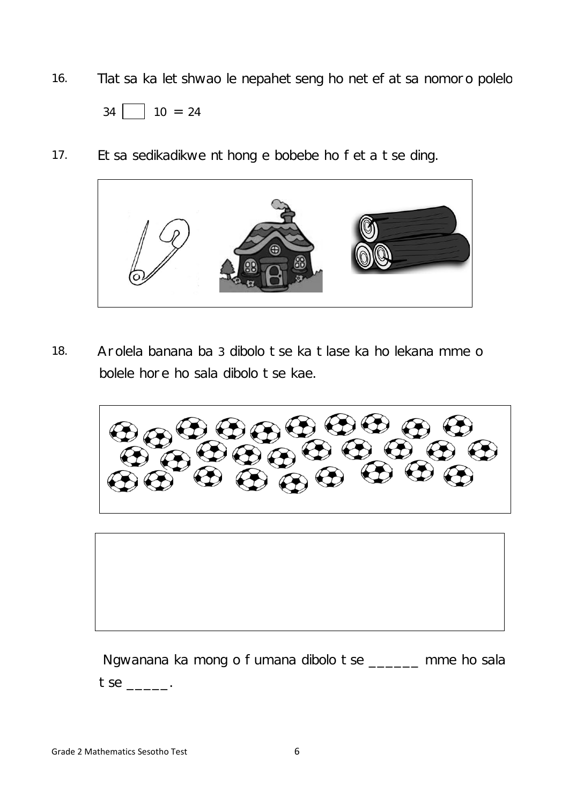16. Tlatsa ka letshwao le nepahetseng ho netefatsa nomoro polelo



17. Etsa sedikadikwe nthong e bobebe ho feta tse ding.



18. Arolela banana ba 3 dibolo tse ka tlase ka ho lekana mme o bolele hore ho sala dibolo tse kae.

 $\mathbf G$ 



Ngwanana ka mong o fumana dibolo tse \_\_\_\_\_\_ mme ho sala tse \_\_\_\_\_.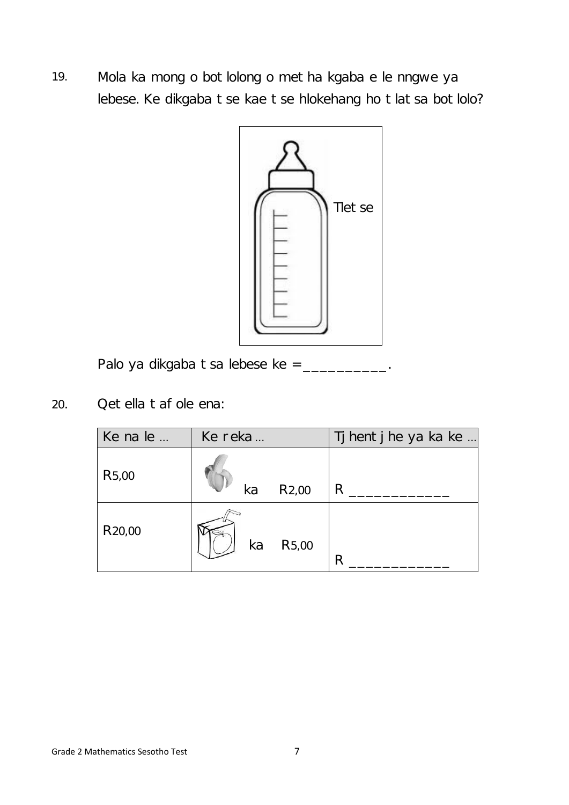19. Mola ka mong o botlolong o metha kgaba e le nngwe ya lebese. Ke dikgaba tse kae tse hlokehang ho tlatsa botlolo?



Palo ya dikgaba tsa lebese ke = \_\_\_\_\_\_\_\_\_\_\_.

20. Qetella tafole ena:

| Ke na le            | Ke reka |                    | Tj hentj he ya ka ke |
|---------------------|---------|--------------------|----------------------|
| R <sub>5</sub> ,00  | ka      | R <sub>2</sub> ,00 | R                    |
| R <sub>20</sub> ,00 | ka      | R <sub>5</sub> ,00 | R                    |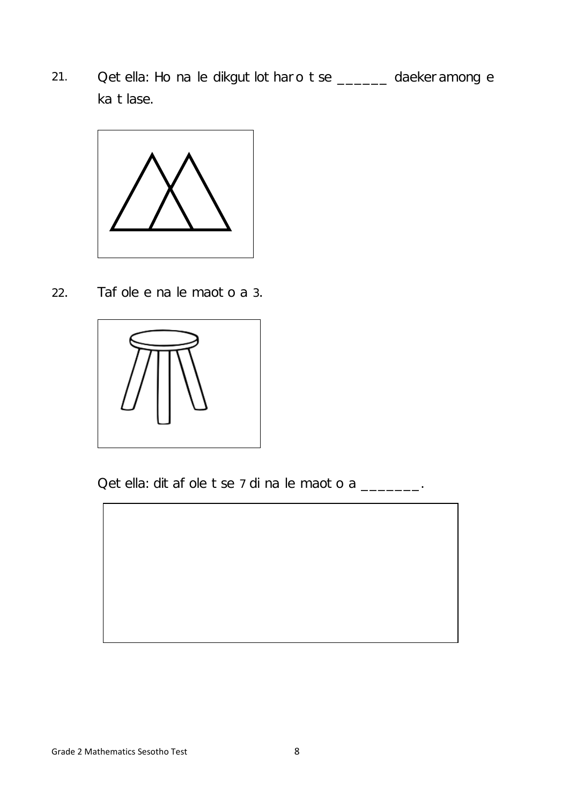21. Qetella: Ho na le dikgutlotharo tse \_\_\_\_\_\_ daekeramong e ka tlase.



22. Tafole e na le maoto a 3.



Qetella: ditafole tse 7 di na le maoto a \_\_\_\_\_\_\_.